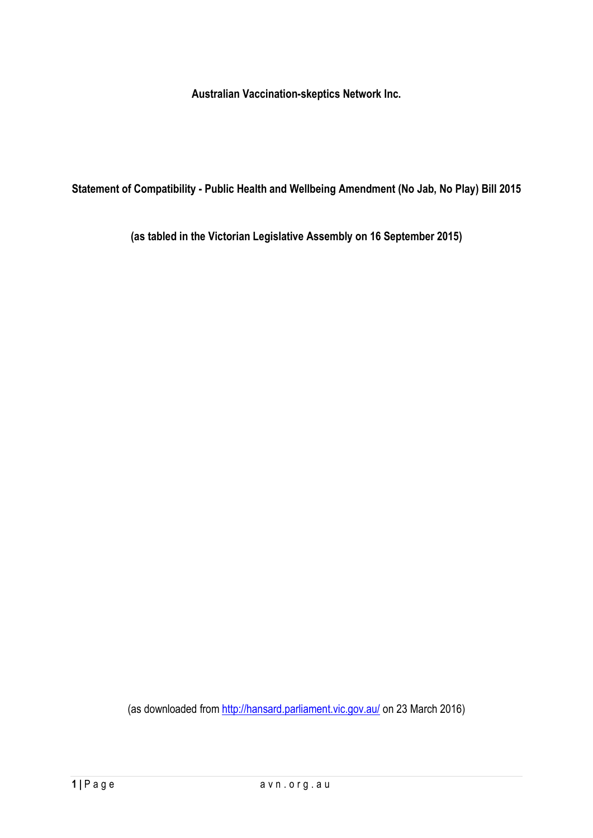**Australian Vaccination-skeptics Network Inc.**

**Statement of Compatibility - Public Health and Wellbeing Amendment (No Jab, No Play) Bill 2015**

**(as tabled in the Victorian Legislative Assembly on 16 September 2015)**

(as downloaded from http://hansard.parliament.vic.gov.au/ on 23 March 2016)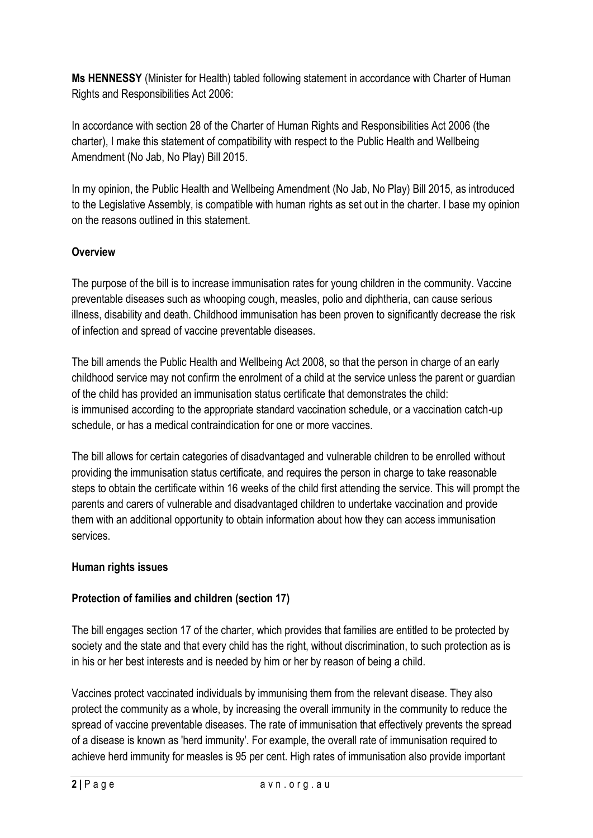**Ms HENNESSY** (Minister for Health) tabled following statement in accordance with Charter of Human Rights and Responsibilities Act 2006:

In accordance with section 28 of the Charter of Human Rights and Responsibilities Act 2006 (the charter), I make this statement of compatibility with respect to the Public Health and Wellbeing Amendment (No Jab, No Play) Bill 2015.

In my opinion, the Public Health and Wellbeing Amendment (No Jab, No Play) Bill 2015, as introduced to the Legislative Assembly, is compatible with human rights as set out in the charter. I base my opinion on the reasons outlined in this statement.

### **Overview**

The purpose of the bill is to increase immunisation rates for young children in the community. Vaccine preventable diseases such as whooping cough, measles, polio and diphtheria, can cause serious illness, disability and death. Childhood immunisation has been proven to significantly decrease the risk of infection and spread of vaccine preventable diseases.

The bill amends the Public Health and Wellbeing Act 2008, so that the person in charge of an early childhood service may not confirm the enrolment of a child at the service unless the parent or guardian of the child has provided an immunisation status certificate that demonstrates the child: is immunised according to the appropriate standard vaccination schedule, or a vaccination catch-up schedule, or has a medical contraindication for one or more vaccines.

The bill allows for certain categories of disadvantaged and vulnerable children to be enrolled without providing the immunisation status certificate, and requires the person in charge to take reasonable steps to obtain the certificate within 16 weeks of the child first attending the service. This will prompt the parents and carers of vulnerable and disadvantaged children to undertake vaccination and provide them with an additional opportunity to obtain information about how they can access immunisation services.

### **Human rights issues**

# **Protection of families and children (section 17)**

The bill engages section 17 of the charter, which provides that families are entitled to be protected by society and the state and that every child has the right, without discrimination, to such protection as is in his or her best interests and is needed by him or her by reason of being a child.

Vaccines protect vaccinated individuals by immunising them from the relevant disease. They also protect the community as a whole, by increasing the overall immunity in the community to reduce the spread of vaccine preventable diseases. The rate of immunisation that effectively prevents the spread of a disease is known as 'herd immunity'. For example, the overall rate of immunisation required to achieve herd immunity for measles is 95 per cent. High rates of immunisation also provide important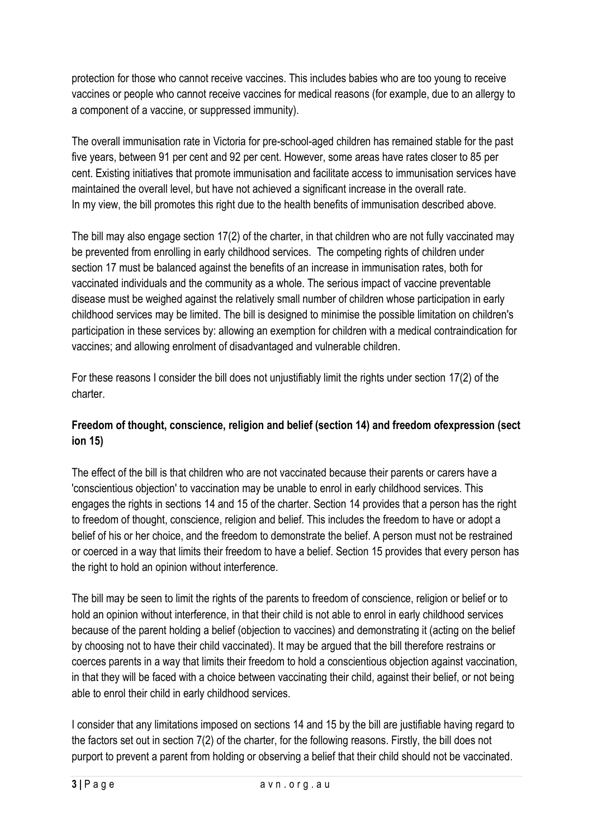protection for those who cannot receive vaccines. This includes babies who are too young to receive vaccines or people who cannot receive vaccines for medical reasons (for example, due to an allergy to a component of a vaccine, or suppressed immunity).

The overall immunisation rate in Victoria for pre-school-aged children has remained stable for the past five years, between 91 per cent and 92 per cent. However, some areas have rates closer to 85 per cent. Existing initiatives that promote immunisation and facilitate access to immunisation services have maintained the overall level, but have not achieved a significant increase in the overall rate. In my view, the bill promotes this right due to the health benefits of immunisation described above.

The bill may also engage section 17(2) of the charter, in that children who are not fully vaccinated may be prevented from enrolling in early childhood services. The competing rights of children under section 17 must be balanced against the benefits of an increase in immunisation rates, both for vaccinated individuals and the community as a whole. The serious impact of vaccine preventable disease must be weighed against the relatively small number of children whose participation in early childhood services may be limited. The bill is designed to minimise the possible limitation on children's participation in these services by: allowing an exemption for children with a medical contraindication for vaccines; and allowing enrolment of disadvantaged and vulnerable children.

For these reasons I consider the bill does not unjustifiably limit the rights under section 17(2) of the charter.

# **Freedom of thought, conscience, religion and belief (section 14) and freedom ofexpression (sect ion 15)**

The effect of the bill is that children who are not vaccinated because their parents or carers have a 'conscientious objection' to vaccination may be unable to enrol in early childhood services. This engages the rights in sections 14 and 15 of the charter. Section 14 provides that a person has the right to freedom of thought, conscience, religion and belief. This includes the freedom to have or adopt a belief of his or her choice, and the freedom to demonstrate the belief. A person must not be restrained or coerced in a way that limits their freedom to have a belief. Section 15 provides that every person has the right to hold an opinion without interference.

The bill may be seen to limit the rights of the parents to freedom of conscience, religion or belief or to hold an opinion without interference, in that their child is not able to enrol in early childhood services because of the parent holding a belief (objection to vaccines) and demonstrating it (acting on the belief by choosing not to have their child vaccinated). It may be argued that the bill therefore restrains or coerces parents in a way that limits their freedom to hold a conscientious objection against vaccination, in that they will be faced with a choice between vaccinating their child, against their belief, or not being able to enrol their child in early childhood services.

I consider that any limitations imposed on sections 14 and 15 by the bill are justifiable having regard to the factors set out in section 7(2) of the charter, for the following reasons. Firstly, the bill does not purport to prevent a parent from holding or observing a belief that their child should not be vaccinated.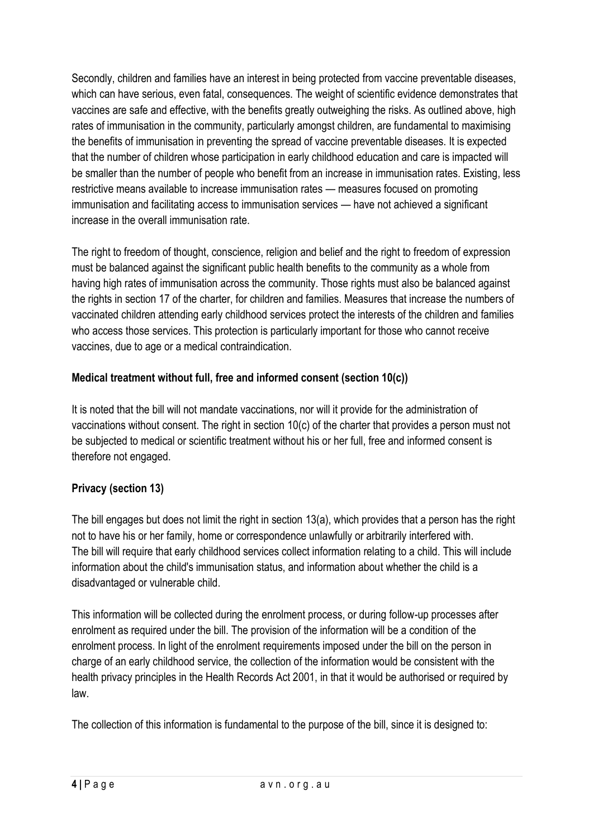Secondly, children and families have an interest in being protected from vaccine preventable diseases, which can have serious, even fatal, consequences. The weight of scientific evidence demonstrates that vaccines are safe and effective, with the benefits greatly outweighing the risks. As outlined above, high rates of immunisation in the community, particularly amongst children, are fundamental to maximising the benefits of immunisation in preventing the spread of vaccine preventable diseases. It is expected that the number of children whose participation in early childhood education and care is impacted will be smaller than the number of people who benefit from an increase in immunisation rates. Existing, less restrictive means available to increase immunisation rates — measures focused on promoting immunisation and facilitating access to immunisation services — have not achieved a significant increase in the overall immunisation rate.

The right to freedom of thought, conscience, religion and belief and the right to freedom of expression must be balanced against the significant public health benefits to the community as a whole from having high rates of immunisation across the community. Those rights must also be balanced against the rights in section 17 of the charter, for children and families. Measures that increase the numbers of vaccinated children attending early childhood services protect the interests of the children and families who access those services. This protection is particularly important for those who cannot receive vaccines, due to age or a medical contraindication.

### **Medical treatment without full, free and informed consent (section 10(c))**

It is noted that the bill will not mandate vaccinations, nor will it provide for the administration of vaccinations without consent. The right in section 10(c) of the charter that provides a person must not be subjected to medical or scientific treatment without his or her full, free and informed consent is therefore not engaged.

# **Privacy (section 13)**

The bill engages but does not limit the right in section 13(a), which provides that a person has the right not to have his or her family, home or correspondence unlawfully or arbitrarily interfered with. The bill will require that early childhood services collect information relating to a child. This will include information about the child's immunisation status, and information about whether the child is a disadvantaged or vulnerable child.

This information will be collected during the enrolment process, or during follow-up processes after enrolment as required under the bill. The provision of the information will be a condition of the enrolment process. In light of the enrolment requirements imposed under the bill on the person in charge of an early childhood service, the collection of the information would be consistent with the health privacy principles in the Health Records Act 2001, in that it would be authorised or required by law.

The collection of this information is fundamental to the purpose of the bill, since it is designed to: